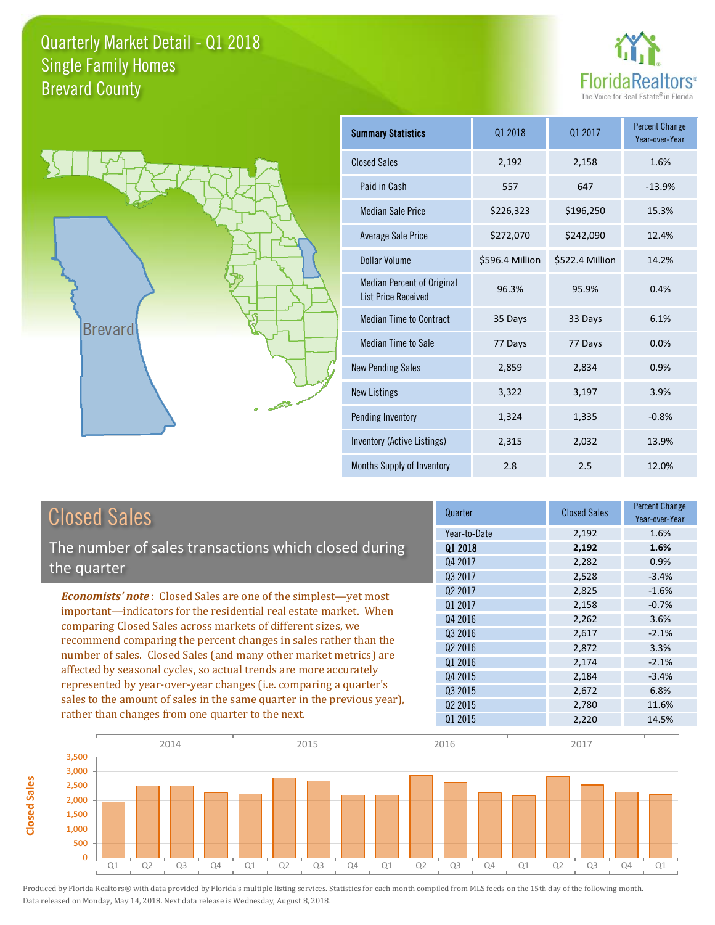



**Closed Sales**

**Closed Sales** 

| <b>Summary Statistics</b>                                       | 01 2018         | 01 2017         | <b>Percent Change</b><br>Year-over-Year |
|-----------------------------------------------------------------|-----------------|-----------------|-----------------------------------------|
| <b>Closed Sales</b>                                             | 2,192           | 2,158           | 1.6%                                    |
| Paid in Cash                                                    | 557             | 647             | $-13.9%$                                |
| <b>Median Sale Price</b>                                        | \$226,323       | \$196,250       | 15.3%                                   |
| <b>Average Sale Price</b>                                       | \$272,070       | \$242,090       | 12.4%                                   |
| Dollar Volume                                                   | \$596.4 Million | \$522.4 Million | 14.2%                                   |
| <b>Median Percent of Original</b><br><b>List Price Received</b> | 96.3%           | 95.9%           | 0.4%                                    |
| <b>Median Time to Contract</b>                                  | 35 Days         | 33 Days         | 6.1%                                    |
| Median Time to Sale                                             | 77 Days         | 77 Days         | 0.0%                                    |
| <b>New Pending Sales</b>                                        | 2,859           | 2,834           | 0.9%                                    |
| <b>New Listings</b>                                             | 3,322           | 3,197           | 3.9%                                    |
| Pending Inventory                                               | 1,324           | 1,335           | $-0.8%$                                 |
| Inventory (Active Listings)                                     | 2,315           | 2,032           | 13.9%                                   |
| Months Supply of Inventory                                      | 2.8             | 2.5             | 12.0%                                   |

| <b>Closed Sales</b>                                                                                                                                                                                                                                                                                                                                  | Quarter             | <b>Closed Sales</b> | <b>Percent Change</b><br>Year-over-Year |
|------------------------------------------------------------------------------------------------------------------------------------------------------------------------------------------------------------------------------------------------------------------------------------------------------------------------------------------------------|---------------------|---------------------|-----------------------------------------|
|                                                                                                                                                                                                                                                                                                                                                      | Year-to-Date        | 2,192               | 1.6%                                    |
| The number of sales transactions which closed during                                                                                                                                                                                                                                                                                                 | 01 2018             | 2,192               | 1.6%                                    |
| the quarter                                                                                                                                                                                                                                                                                                                                          | Q4 2017<br>Q3 2017  | 2,282<br>2,528      | 0.9%<br>$-3.4%$                         |
|                                                                                                                                                                                                                                                                                                                                                      | Q <sub>2</sub> 2017 | 2,825               | $-1.6%$                                 |
| <b>Economists' note:</b> Closed Sales are one of the simplest—yet most<br>important—indicators for the residential real estate market. When<br>comparing Closed Sales across markets of different sizes, we<br>recommend comparing the percent changes in sales rather than the<br>number of sales. Closed Sales (and many other market metrics) are | Q1 2017             | 2,158               | $-0.7%$                                 |
|                                                                                                                                                                                                                                                                                                                                                      | Q4 2016             | 2,262               | 3.6%                                    |
|                                                                                                                                                                                                                                                                                                                                                      | Q3 2016             | 2,617               | $-2.1%$                                 |
|                                                                                                                                                                                                                                                                                                                                                      | Q <sub>2</sub> 2016 | 2,872               | 3.3%                                    |
| affected by seasonal cycles, so actual trends are more accurately                                                                                                                                                                                                                                                                                    | 01 2016             | 2,174               | $-2.1%$                                 |
| represented by year-over-year changes (i.e. comparing a quarter's                                                                                                                                                                                                                                                                                    | Q4 2015             | 2,184               | $-3.4%$                                 |
| sales to the amount of sales in the same quarter in the previous year),                                                                                                                                                                                                                                                                              | Q3 2015             | 2,672               | 6.8%                                    |
| rather than changes from one quarter to the next.                                                                                                                                                                                                                                                                                                    | Q <sub>2</sub> 2015 | 2,780               | 11.6%                                   |
|                                                                                                                                                                                                                                                                                                                                                      | Q1 2015             | 2,220               | 14.5%                                   |

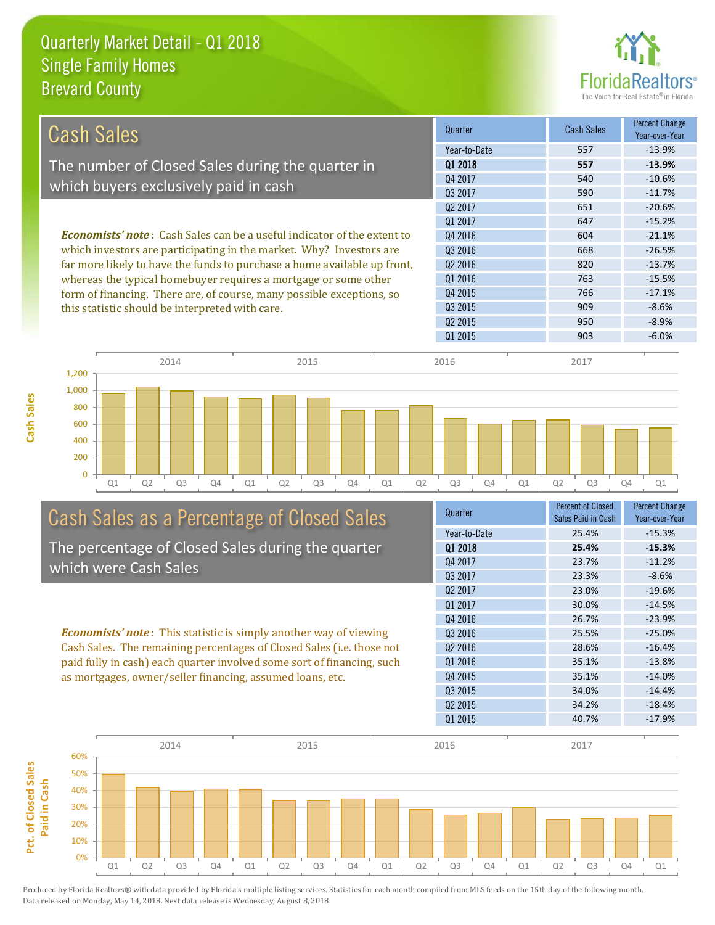

| <b>Cash Sales</b>                                                              | Quarter             | Cash Sales | <b>Percent Change</b><br>Year-over-Year |
|--------------------------------------------------------------------------------|---------------------|------------|-----------------------------------------|
|                                                                                | Year-to-Date        | 557        | $-13.9%$                                |
| The number of Closed Sales during the quarter in                               | 01 2018             | 557        | $-13.9%$                                |
|                                                                                | Q4 2017             | 540        | $-10.6%$                                |
| which buyers exclusively paid in cash                                          | 03 2017             | 590        | $-11.7%$                                |
|                                                                                | Q <sub>2</sub> 2017 | 651        | $-20.6%$                                |
|                                                                                | 01 2017             | 647        | $-15.2%$                                |
| <b>Economists' note:</b> Cash Sales can be a useful indicator of the extent to | Q4 2016             | 604        | $-21.1%$                                |
| which investors are participating in the market. Why? Investors are            | Q3 2016             | 668        | $-26.5%$                                |
| far more likely to have the funds to purchase a home available up front,       | 02 2016             | 820        | $-13.7%$                                |
| whereas the typical homebuyer requires a mortgage or some other                | Q1 2016             | 763        | $-15.5%$                                |
| form of financing. There are, of course, many possible exceptions, so          | Q4 2015             | 766        | $-17.1%$                                |
| this statistic should be interpreted with care.                                | Q3 2015             | 909        | $-8.6%$                                 |
|                                                                                | 02 2015             | 950        | $-8.9\%$                                |
|                                                                                | 01 2015             | 903        | $-6.0%$                                 |





# Cash Sales as a Percentage of Closed Sales

The percentage of Closed Sales during the quarter which were Cash Sales

*Economists' note* : This statistic is simply another way of viewing Cash Sales. The remaining percentages of Closed Sales (i.e. those not paid fully in cash) each quarter involved some sort of financing, such as mortgages, owner/seller financing, assumed loans, etc.



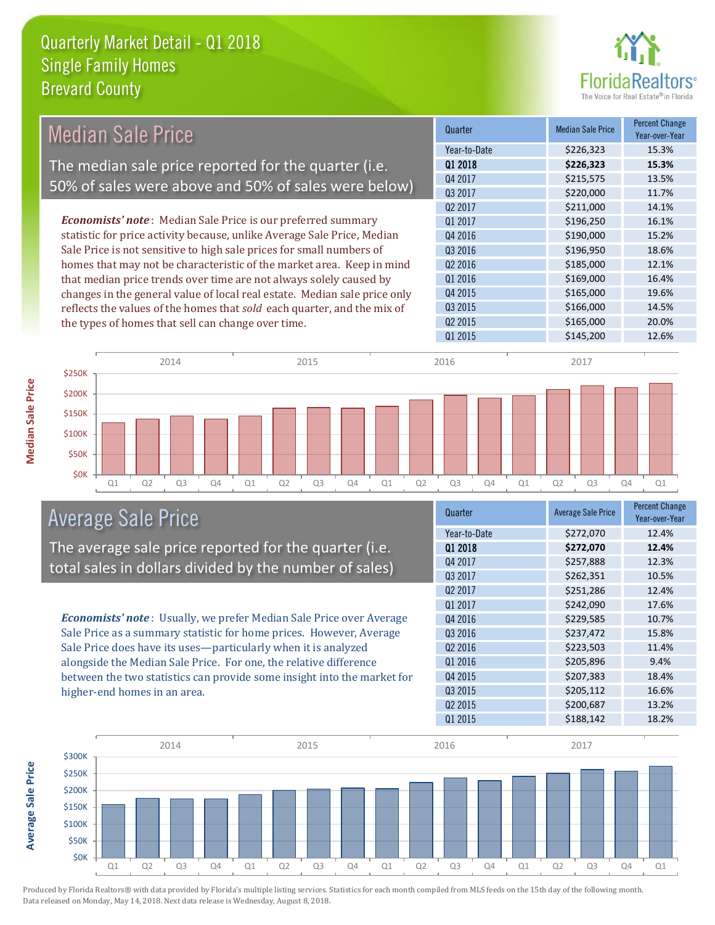

| <b>Median Sale Price</b> |                                                    |                                                                           | Quarter             | <b>Median Sale Price</b> | <b>Percent Change</b><br>Year-over-Year |
|--------------------------|----------------------------------------------------|---------------------------------------------------------------------------|---------------------|--------------------------|-----------------------------------------|
|                          |                                                    |                                                                           | Year-to-Date        | \$226,323                | 15.3%                                   |
|                          |                                                    | The median sale price reported for the quarter (i.e.                      | Q1 2018             | \$226,323                | 15.3%                                   |
|                          |                                                    | 50% of sales were above and 50% of sales were below)                      | Q4 2017             | \$215,575                | 13.5%                                   |
|                          |                                                    |                                                                           | Q3 2017             | \$220,000                | 11.7%                                   |
|                          |                                                    |                                                                           | Q <sub>2</sub> 2017 | \$211,000                | 14.1%                                   |
|                          |                                                    | <b>Economists' note:</b> Median Sale Price is our preferred summary       | Q1 2017             | \$196,250                | 16.1%                                   |
|                          |                                                    | statistic for price activity because, unlike Average Sale Price, Median   | Q4 2016             | \$190,000                | 15.2%                                   |
|                          |                                                    | Sale Price is not sensitive to high sale prices for small numbers of      | Q3 2016             | \$196,950                | 18.6%                                   |
|                          |                                                    | homes that may not be characteristic of the market area. Keep in mind     | Q2 2016             | \$185,000                | 12.1%                                   |
|                          |                                                    | that median price trends over time are not always solely caused by        | Q1 2016             | \$169,000                | 16.4%                                   |
|                          |                                                    | changes in the general value of local real estate. Median sale price only | Q4 2015             | \$165,000                | 19.6%                                   |
|                          |                                                    | reflects the values of the homes that sold each quarter, and the mix of   | Q3 2015             | \$166,000                | 14.5%                                   |
|                          | the types of homes that sell can change over time. |                                                                           | Q <sub>2</sub> 2015 | \$165,000                | 20.0%                                   |
|                          |                                                    |                                                                           | Q1 2015             | \$145,200                | 12.6%                                   |
|                          | 2014                                               | 2015                                                                      | 2016                | 2017                     |                                         |
| \$250K                   |                                                    |                                                                           |                     |                          |                                         |
| \$200K<br><b>CIENK</b>   |                                                    |                                                                           |                     |                          |                                         |

Q1 Q2 Q3 Q4 Q1 Q2 Q3 Q4 Q1 Q2 Q3 Q4 Q1 Q2 Q3 Q4 Q1

# Average Sale Price

The average sale price reported for the quarter (i.e. total sales in dollars divided by the number of sales)

*Economists' note* : Usually, we prefer Median Sale Price over Average Sale Price as a summary statistic for home prices. However, Average Sale Price does have its uses—particularly when it is analyzed alongside the Median Sale Price. For one, the relative difference between the two statistics can provide some insight into the market for higher-end homes in an area.

| Quarter             | <b>Average Sale Price</b> | <b>Percent Change</b><br>Year-over-Year |
|---------------------|---------------------------|-----------------------------------------|
| Year-to-Date        | \$272,070                 | 12.4%                                   |
| Q1 2018             | \$272,070                 | 12.4%                                   |
| Q4 2017             | \$257,888                 | 12.3%                                   |
| Q3 2017             | \$262,351                 | 10.5%                                   |
| Q <sub>2</sub> 2017 | \$251,286                 | 12.4%                                   |
| 01 2017             | \$242,090                 | 17.6%                                   |
| Q4 2016             | \$229,585                 | 10.7%                                   |
| Q3 2016             | \$237,472                 | 15.8%                                   |
| Q <sub>2</sub> 2016 | \$223,503                 | 11.4%                                   |
| Q1 2016             | \$205,896                 | 9.4%                                    |
| Q4 2015             | \$207,383                 | 18.4%                                   |
| Q3 2015             | \$205,112                 | 16.6%                                   |
| Q <sub>2</sub> 2015 | \$200,687                 | 13.2%                                   |
| Q1 2015             | \$188,142                 | 18.2%                                   |



**Median Sale Price**

**Median Sale Price**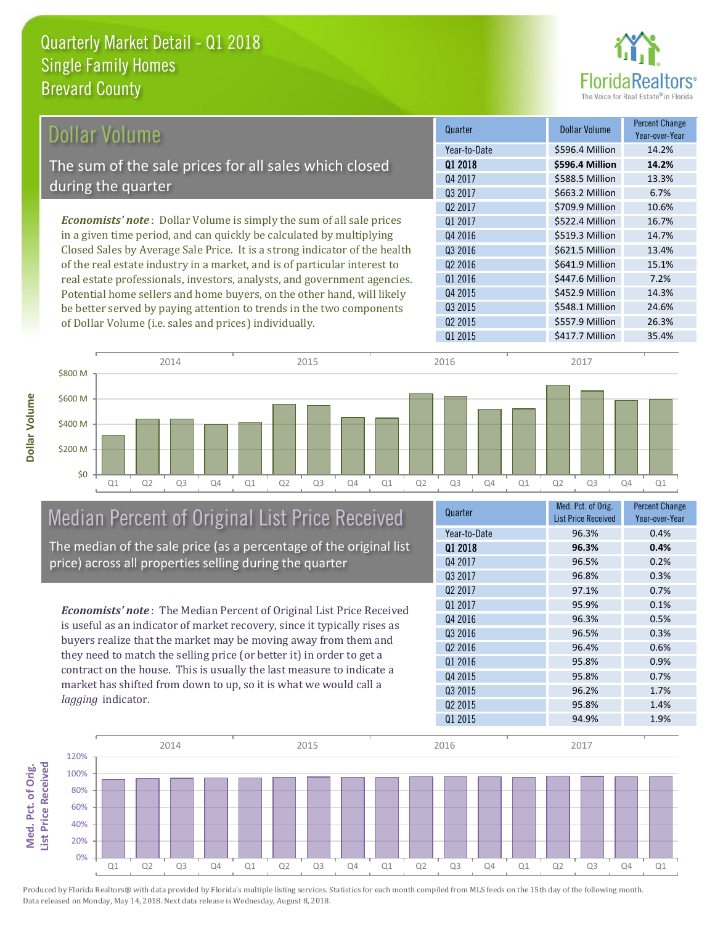

| Dollar Volume                                                                | Quarter             | <b>Dollar Volume</b> | <b>Percent Change</b><br>Year-over-Year |
|------------------------------------------------------------------------------|---------------------|----------------------|-----------------------------------------|
|                                                                              | Year-to-Date        | \$596.4 Million      | 14.2%                                   |
| The sum of the sale prices for all sales which closed                        | 01 2018             | \$596.4 Million      | 14.2%                                   |
|                                                                              | Q4 2017             | \$588.5 Million      | 13.3%                                   |
| during the quarter                                                           | 03 2017             | \$663.2 Million      | 6.7%                                    |
|                                                                              | Q <sub>2</sub> 2017 | \$709.9 Million      | 10.6%                                   |
| <b>Economists' note</b> : Dollar Volume is simply the sum of all sale prices | 01 2017             | \$522.4 Million      | 16.7%                                   |
| in a given time period, and can quickly be calculated by multiplying         | 04 2016             | \$519.3 Million      | 14.7%                                   |
| Closed Sales by Average Sale Price. It is a strong indicator of the health   | Q3 2016             | \$621.5 Million      | 13.4%                                   |
| of the real estate industry in a market, and is of particular interest to    | Q <sub>2</sub> 2016 | \$641.9 Million      | 15.1%                                   |
| real estate professionals, investors, analysts, and government agencies.     | Q1 2016             | \$447.6 Million      | 7.2%                                    |
| Potential home sellers and home buyers, on the other hand, will likely       | Q4 2015             | \$452.9 Million      | 14.3%                                   |
| be better served by paying attention to trends in the two components         | Q3 2015             | \$548.1 Million      | 24.6%                                   |



## Median Percent of Original List Price Received

of Dollar Volume (i.e. sales and prices) individually.

The median of the sale price (as a percentage of the original list price) across all properties selling during the quarter

*Economists' note* : The Median Percent of Original List Price Received is useful as an indicator of market recovery, since it typically rises as buyers realize that the market may be moving away from them and they need to match the selling price (or better it) in order to get a contract on the house. This is usually the last measure to indicate a market has shifted from down to up, so it is what we would call a *lagging* indicator.

| Quarter             | Med. Pct. of Orig.         | <b>Percent Change</b> |
|---------------------|----------------------------|-----------------------|
|                     | <b>List Price Received</b> | Year-over-Year        |
| Year-to-Date        | 96.3%                      | 0.4%                  |
| 01 2018             | 96.3%                      | 0.4%                  |
| Q4 2017             | 96.5%                      | 0.2%                  |
| 03 2017             | 96.8%                      | 0.3%                  |
| Q <sub>2</sub> 2017 | 97.1%                      | 0.7%                  |
| 01 2017             | 95.9%                      | 0.1%                  |
| 04 2016             | 96.3%                      | 0.5%                  |
| Q3 2016             | 96.5%                      | 0.3%                  |
| 02 2016             | 96.4%                      | 0.6%                  |
| Q1 2016             | 95.8%                      | 0.9%                  |
| Q4 2015             | 95.8%                      | 0.7%                  |
| Q3 2015             | 96.2%                      | 1.7%                  |
| Q <sub>2</sub> 2015 | 95.8%                      | 1.4%                  |
| Q1 2015             | 94.9%                      | 1.9%                  |
|                     |                            |                       |

Q2 2015 **\$557.9 Million** 26.3%

Q1 2015 **\$417.7 Million** 35.4%



Produced by Florida Realtors® with data provided by Florida's multiple listing services. Statistics for each month compiled from MLS feeds on the 15th day of the following month. Data released on Monday, May 14, 2018. Next data release is Wednesday, August 8, 2018.

**Med. Pct. of Orig.** 

Med. Pct. of Orig.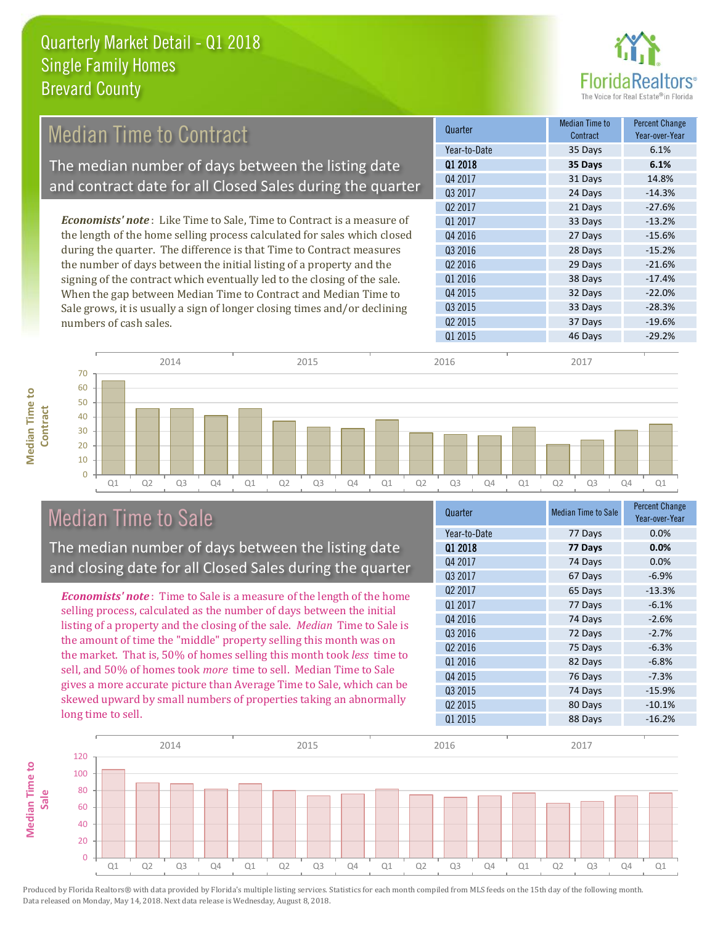

#### *Economists' note* : Like Time to Sale, Time to Contract is a measure of the length of the home selling process calculated for sales which closed during the quarter. The difference is that Time to Contract measures the number of days between the initial listing of a property and the signing of the contract which eventually led to the closing of the sale. When the gap between Median Time to Contract and Median Time to 32 Days -22.0% Q3 2015 33 Days -28.3% Q4 2015 Q1 2017 33 Days -13.2% Q4 2016 27 Days -15.6% Q3 2016 28 Days -15.2% Q2 2016 29 Days -21.6% Q1 2016 **38 Days** -17.4% Quarter Median Time to **Median Time to Contract** Percent Change Year-over-Year Q1 2018 **35 Days 6.1%** Year-to-Date 35 Days 6.1% Q4 2017 31 Days 14.8% Q3 2017 24 Days -14.3% Q2 2017 21 Days -27.6% Median Time to Contract The median number of days between the listing date and contract date for all Closed Sales during the quarter

Q1 Q2 Q3 Q4 Q1 Q2 Q3 Q4 Q1 Q2 Q3 Q4 Q1 Q2 Q3 Q4 Q1  $\Omega$ 10  $20$ 30 40 50 60 70 2014 2015 2016 2017

### Median Time to Sale

numbers of cash sales.

**Median Time to Contract**

**Median Time to** 

The median number of days between the listing date and closing date for all Closed Sales during the quarter

Sale grows, it is usually a sign of longer closing times and/or declining

*Economists' note* : Time to Sale is a measure of the length of the home selling process, calculated as the number of days between the initial listing of a property and the closing of the sale. *Median* Time to Sale is the amount of time the "middle" property selling this month was on the market. That is, 50% of homes selling this month took *less* time to sell, and 50% of homes took *more* time to sell. Median Time to Sale gives a more accurate picture than Average Time to Sale, which can be skewed upward by small numbers of properties taking an abnormally long time to sell.

| Quarter             | <b>Median Time to Sale</b> | <b>Percent Change</b><br>Year-over-Year |
|---------------------|----------------------------|-----------------------------------------|
| Year-to-Date        | 77 Days                    | 0.0%                                    |
| Q1 2018             | 77 Days                    | 0.0%                                    |
| Q4 2017             | 74 Days                    | 0.0%                                    |
| 03 2017             | 67 Days                    | $-6.9%$                                 |
| Q <sub>2</sub> 2017 | 65 Days                    | $-13.3%$                                |
| Q1 2017             | 77 Days                    | $-6.1%$                                 |
| Q4 2016             | 74 Days                    | $-2.6%$                                 |
| Q3 2016             | 72 Days                    | $-2.7%$                                 |
| Q <sub>2</sub> 2016 | 75 Days                    | $-6.3%$                                 |
| Q1 2016             | 82 Days                    | $-6.8%$                                 |
| Q4 2015             | 76 Days                    | $-7.3%$                                 |
| Q3 2015             | 74 Days                    | $-15.9%$                                |
| Q <sub>2</sub> 2015 | 80 Days                    | $-10.1%$                                |
| Q1 2015             | 88 Days                    | $-16.2%$                                |

Q2 2015 37 Days -19.6% Q1 2015 46 Days -29.2%

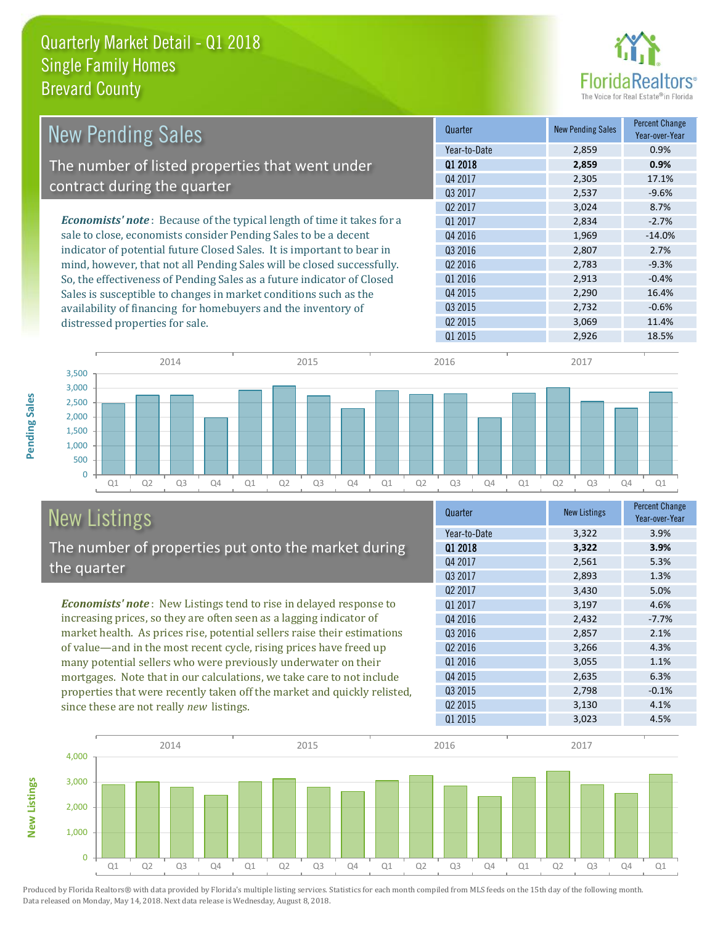

| <b>New Pending Sales</b>                                                       | Quarter             | <b>New Pending Sales</b> | <b>Percent Change</b><br>Year-over-Year |
|--------------------------------------------------------------------------------|---------------------|--------------------------|-----------------------------------------|
|                                                                                | Year-to-Date        | 2,859                    | 0.9%                                    |
| The number of listed properties that went under                                | 01 2018             | 2,859                    | 0.9%                                    |
|                                                                                | Q4 2017             | 2,305                    | 17.1%                                   |
| contract during the quarter                                                    | Q3 2017             | 2,537                    | $-9.6%$                                 |
|                                                                                | Q <sub>2</sub> 2017 | 3,024                    | 8.7%                                    |
| <b>Economists' note</b> : Because of the typical length of time it takes for a | 01 2017             | 2,834                    | $-2.7%$                                 |
| sale to close, economists consider Pending Sales to be a decent                | Q4 2016             | 1,969                    | $-14.0%$                                |
| indicator of potential future Closed Sales. It is important to bear in         | Q3 2016             | 2,807                    | 2.7%                                    |
| mind, however, that not all Pending Sales will be closed successfully.         | 02 2016             | 2,783                    | $-9.3%$                                 |
| So, the effectiveness of Pending Sales as a future indicator of Closed         | Q1 2016             | 2,913                    | $-0.4%$                                 |
| Sales is susceptible to changes in market conditions such as the               | Q4 2015             | 2,290                    | 16.4%                                   |
| availability of financing for homebuyers and the inventory of                  | 03 2015             | 2,732                    | $-0.6%$                                 |
| distressed properties for sale.                                                | Q <sub>2</sub> 2015 | 3,069                    | 11.4%                                   |
|                                                                                | Q1 2015             | 2,926                    | 18.5%                                   |



# New Listings

The number of properties put onto the market during the quarter

*Economists' note* : New Listings tend to rise in delayed response to increasing prices, so they are often seen as a lagging indicator of market health. As prices rise, potential sellers raise their estimations of value—and in the most recent cycle, rising prices have freed up many potential sellers who were previously underwater on their mortgages. Note that in our calculations, we take care to not include properties that were recently taken off the market and quickly relisted, since these are not really *new* listings.

| <b>New Listings</b> | <b>Percent Change</b><br>Year-over-Year |
|---------------------|-----------------------------------------|
| 3,322               | 3.9%                                    |
| 3,322               | 3.9%                                    |
| 2,561               | 5.3%                                    |
| 2,893               | 1.3%                                    |
| 3,430               | 5.0%                                    |
| 3,197               | 4.6%                                    |
| 2,432               | $-7.7%$                                 |
| 2,857               | 2.1%                                    |
| 3,266               | 4.3%                                    |
| 3,055               | 1.1%                                    |
| 2,635               | 6.3%                                    |
| 2,798               | $-0.1%$                                 |
| 3,130               | 4.1%                                    |
| 3,023               | 4.5%                                    |
|                     |                                         |



Produced by Florida Realtors® with data provided by Florida's multiple listing services. Statistics for each month compiled from MLS feeds on the 15th day of the following month. Data released on Monday, May 14, 2018. Next data release is Wednesday, August 8, 2018.

**New Listings**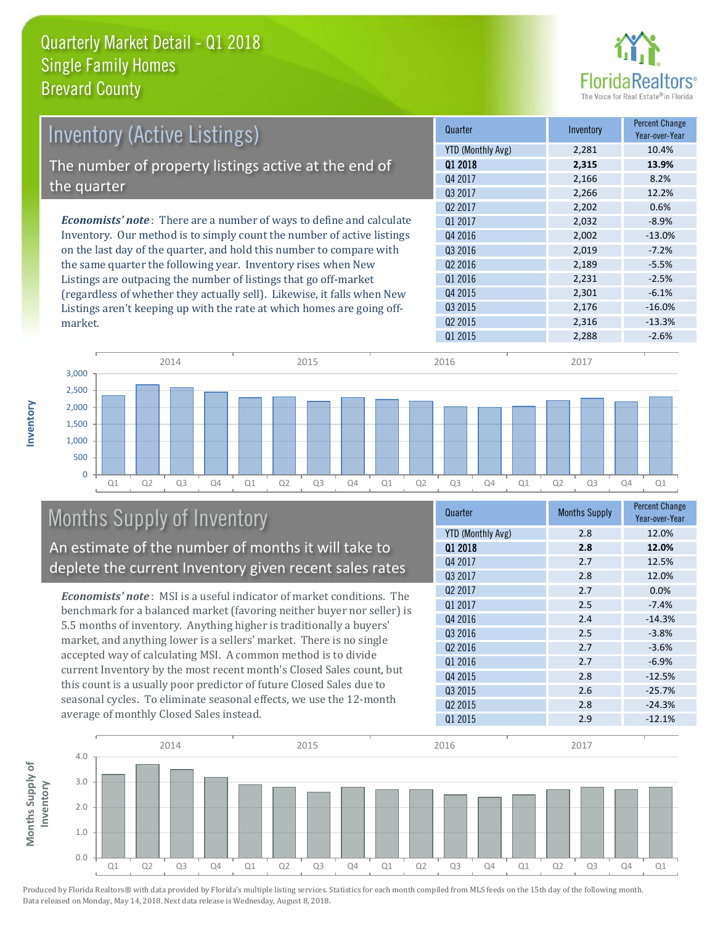

| <b>Inventory (Active Listings)</b>                                           | Quarter             | Inventory | <b>Percent Change</b><br>Year-over-Year |
|------------------------------------------------------------------------------|---------------------|-----------|-----------------------------------------|
|                                                                              | YTD (Monthly Avg)   | 2,281     | 10.4%                                   |
| The number of property listings active at the end of                         | 01 2018             | 2,315     | 13.9%                                   |
|                                                                              | Q4 2017             | 2,166     | 8.2%                                    |
| the quarter                                                                  | 03 2017             | 2,266     | 12.2%                                   |
|                                                                              | 02 2017             | 2,202     | 0.6%                                    |
| <b>Economists' note</b> : There are a number of ways to define and calculate | 01 2017             | 2,032     | $-8.9%$                                 |
| Inventory. Our method is to simply count the number of active listings       | Q4 2016             | 2,002     | $-13.0%$                                |
| on the last day of the quarter, and hold this number to compare with         | Q3 2016             | 2,019     | $-7.2%$                                 |
| the same quarter the following year. Inventory rises when New                | Q <sub>2</sub> 2016 | 2,189     | $-5.5%$                                 |
| Listings are outpacing the number of listings that go off-market             | Q1 2016             | 2,231     | $-2.5%$                                 |
| (regardless of whether they actually sell). Likewise, it falls when New      | 04 2015             | 2.301     | $-6.1%$                                 |



# Months Supply of Inventory

An estimate of the number of months it will take to deplete the current Inventory given recent sales rates

Listings aren't keeping up with the rate at which homes are going off-

*Economists' note* : MSI is a useful indicator of market conditions. The benchmark for a balanced market (favoring neither buyer nor seller) is 5.5 months of inventory. Anything higher is traditionally a buyers' market, and anything lower is a sellers' market. There is no single accepted way of calculating MSI. A common method is to divide current Inventory by the most recent month's Closed Sales count, but this count is a usually poor predictor of future Closed Sales due to seasonal cycles. To eliminate seasonal effects, we use the 12-month average of monthly Closed Sales instead.

| <b>Months Supply</b> | <b>Percent Change</b><br>Year-over-Year |
|----------------------|-----------------------------------------|
| 2.8                  | 12.0%                                   |
| 2.8                  | 12.0%                                   |
| 2.7                  | 12.5%                                   |
| 2.8                  | 12.0%                                   |
| 2.7                  | 0.0%                                    |
| 2.5                  | $-7.4%$                                 |
| 2.4                  | $-14.3%$                                |
| 2.5                  | $-3.8%$                                 |
| 2.7                  | $-3.6%$                                 |
| 2.7                  | $-6.9%$                                 |
| 2.8                  | $-12.5%$                                |
| 2.6                  | $-25.7%$                                |
| 2.8                  | $-24.3%$                                |
| 2.9                  | $-12.1%$                                |
|                      |                                         |

Q3 2015 2,176 -16.0% Q2 2015 2,316 -13.3%



Produced by Florida Realtors® with data provided by Florida's multiple listing services. Statistics for each month compiled from MLS feeds on the 15th day of the following month. Data released on Monday, May 14, 2018. Next data release is Wednesday, August 8, 2018.

market.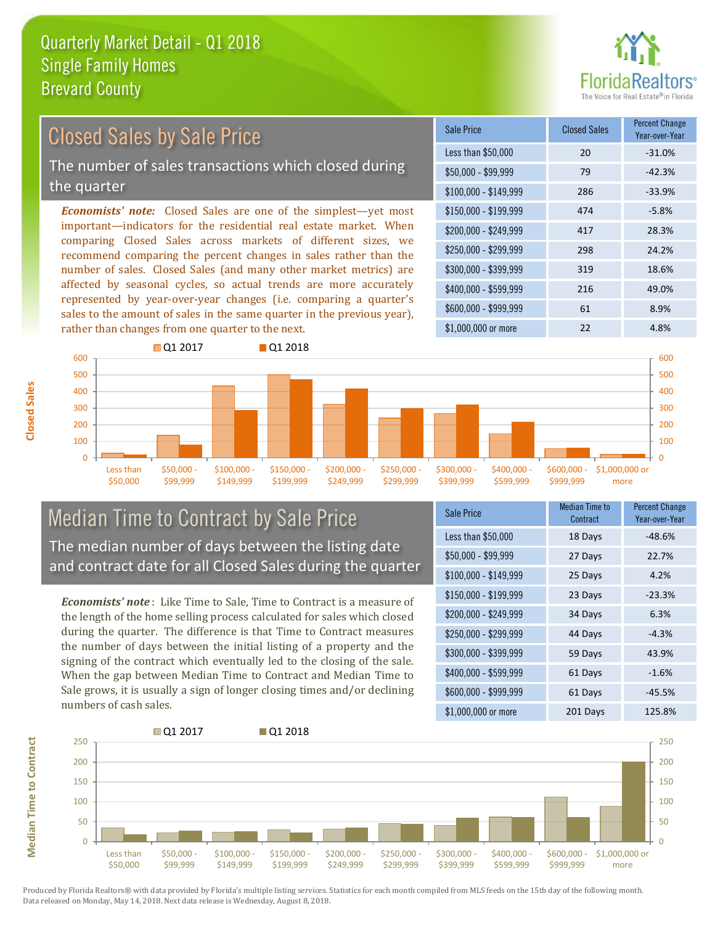

### Closed Sales by Sale Price

The number of sales transactions which closed during the quarter

*Economists' note:* Closed Sales are one of the simplest—yet most important—indicators for the residential real estate market. When comparing Closed Sales across markets of different sizes, we recommend comparing the percent changes in sales rather than the number of sales. Closed Sales (and many other market metrics) are affected by seasonal cycles, so actual trends are more accurately represented by year-over-year changes (i.e. comparing a quarter's sales to the amount of sales in the same quarter in the previous year), rather than changes from one quarter to the next.

| <b>Sale Price</b>     | <b>Closed Sales</b> | <b>Percent Change</b><br>Year-over-Year |
|-----------------------|---------------------|-----------------------------------------|
| Less than \$50,000    | 20                  | $-31.0%$                                |
| $$50,000 - $99,999$   | 79                  | $-42.3%$                                |
| $$100,000 - $149,999$ | 286                 | $-33.9%$                                |
| $$150,000 - $199,999$ | 474                 | $-5.8%$                                 |
| \$200,000 - \$249,999 | 417                 | 28.3%                                   |
| \$250,000 - \$299,999 | 298                 | 24.2%                                   |
| \$300,000 - \$399,999 | 319                 | 18.6%                                   |
| \$400,000 - \$599,999 | 216                 | 49.0%                                   |
| \$600,000 - \$999,999 | 61                  | 8.9%                                    |
| \$1,000,000 or more   | 22                  | 4.8%                                    |



### Median Time to Contract by Sale Price The median number of days between the listing date and contract date for all Closed Sales during the quarter

*Economists' note* : Like Time to Sale, Time to Contract is a measure of the length of the home selling process calculated for sales which closed during the quarter. The difference is that Time to Contract measures the number of days between the initial listing of a property and the signing of the contract which eventually led to the closing of the sale. When the gap between Median Time to Contract and Median Time to Sale grows, it is usually a sign of longer closing times and/or declining numbers of cash sales.

| <b>Sale Price</b>     | Median Time to<br>Contract | <b>Percent Change</b><br>Year-over-Year |
|-----------------------|----------------------------|-----------------------------------------|
| Less than \$50,000    | 18 Days                    | $-48.6%$                                |
| \$50,000 - \$99,999   | 27 Days                    | 22.7%                                   |
| $$100,000 - $149,999$ | 25 Days                    | 4.2%                                    |
| \$150,000 - \$199,999 | 23 Days                    | $-23.3%$                                |
| \$200,000 - \$249,999 | 34 Days                    | 6.3%                                    |
| \$250,000 - \$299,999 | 44 Days                    | $-4.3%$                                 |
| \$300,000 - \$399,999 | 59 Days                    | 43.9%                                   |
| \$400,000 - \$599,999 | 61 Days                    | $-1.6%$                                 |
| \$600,000 - \$999,999 | 61 Days                    | $-45.5%$                                |
| \$1,000,000 or more   | 201 Days                   | 125.8%                                  |

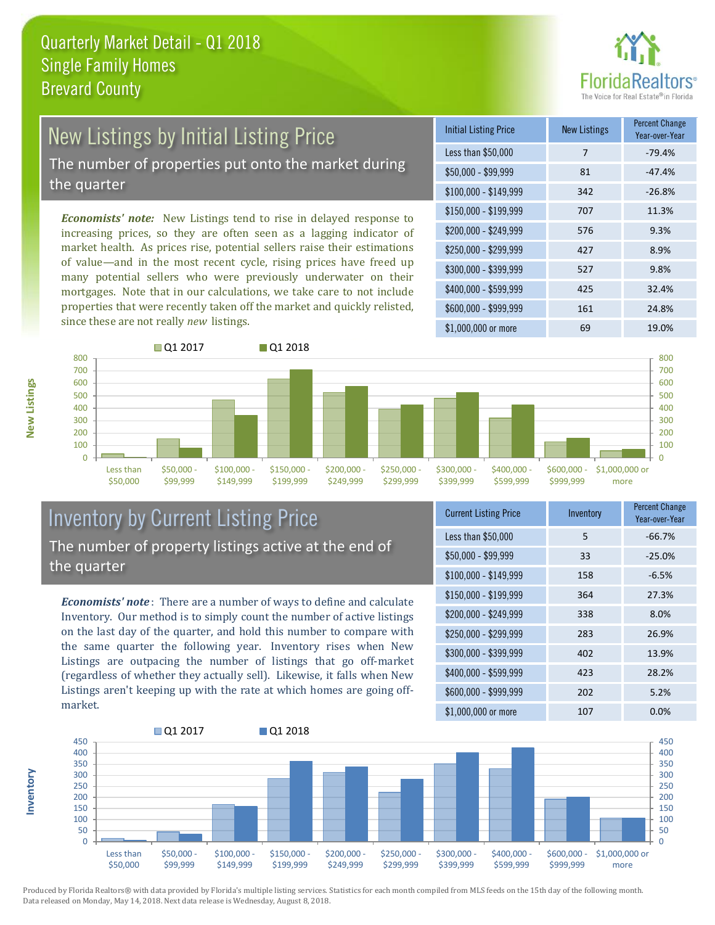

# New Listings by Initial Listing Price

The number of properties put onto the market during the quarter

*Economists' note:* New Listings tend to rise in delayed response to increasing prices, so they are often seen as a lagging indicator of market health. As prices rise, potential sellers raise their estimations of value—and in the most recent cycle, rising prices have freed up many potential sellers who were previously underwater on their mortgages. Note that in our calculations, we take care to not include properties that were recently taken off the market and quickly relisted, since these are not really *new* listings.





### Inventory by Current Listing Price The number of property listings active at the end of the quarter

*Economists' note* : There are a number of ways to define and calculate Inventory. Our method is to simply count the number of active listings on the last day of the quarter, and hold this number to compare with the same quarter the following year. Inventory rises when New Listings are outpacing the number of listings that go off-market (regardless of whether they actually sell). Likewise, it falls when New Listings aren't keeping up with the rate at which homes are going offmarket.

| <b>Current Listing Price</b> | Inventory | Percent Change<br>Year-over-Year |
|------------------------------|-----------|----------------------------------|
| Less than \$50,000           | 5         | $-66.7%$                         |
| $$50,000 - $99,999$          | 33        | $-25.0%$                         |
| $$100,000 - $149,999$        | 158       | $-6.5%$                          |
| $$150,000 - $199,999$        | 364       | 27.3%                            |
| \$200,000 - \$249,999        | 338       | 8.0%                             |
| \$250,000 - \$299,999        | 283       | 26.9%                            |
| \$300,000 - \$399,999        | 402       | 13.9%                            |
| \$400,000 - \$599,999        | 423       | 28.2%                            |
| \$600,000 - \$999,999        | 202       | 5.2%                             |
| \$1,000,000 or more          | 107       | 0.0%                             |



**New Listings**

**Inventory**